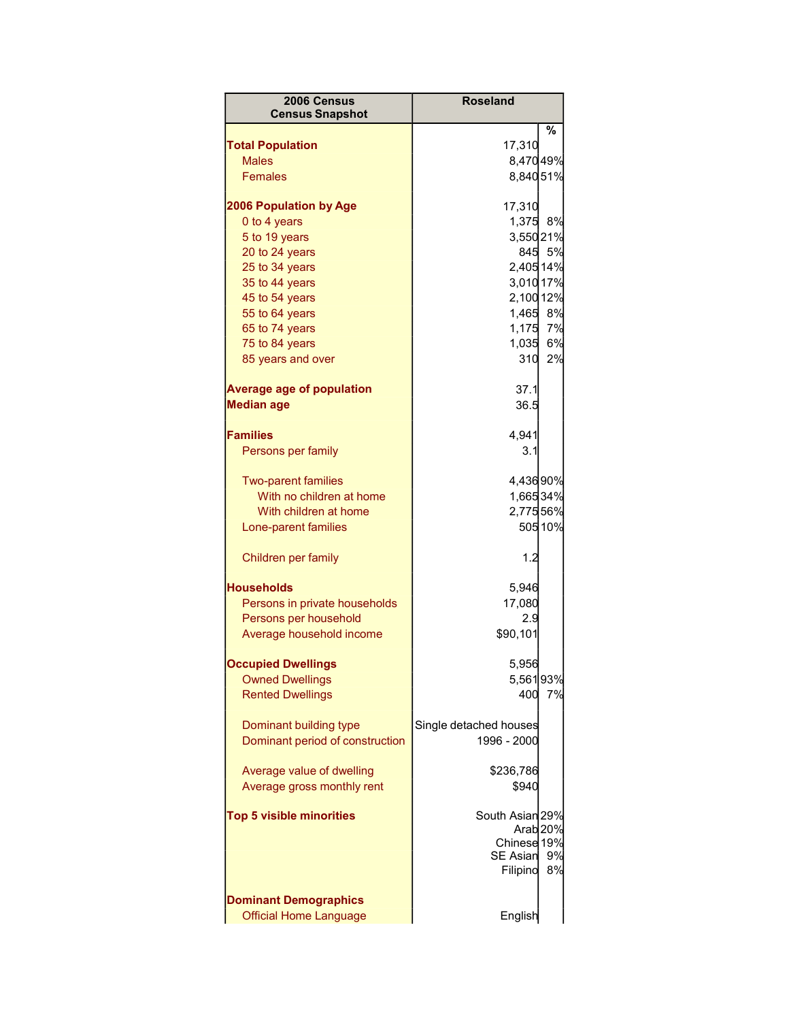| 2006 Census<br><b>Census Snapshot</b>                         | <b>Roseland</b>                    |         |
|---------------------------------------------------------------|------------------------------------|---------|
|                                                               |                                    | %       |
| <b>Total Population</b>                                       | 17,310                             |         |
| <b>Males</b><br><b>Females</b>                                | 8,47049%                           |         |
|                                                               | 8,84051%                           |         |
| <b>2006 Population by Age</b>                                 | 17,310                             |         |
| 0 to 4 years                                                  | 1,375 8%                           |         |
| 5 to 19 years                                                 | 3,55021%                           |         |
| 20 to 24 years                                                |                                    | 845 5%  |
| 25 to 34 years                                                | 2,405 14%                          |         |
| 35 to 44 years                                                | 3,010 17%                          |         |
| 45 to 54 years                                                | 2,100 12%                          |         |
| 55 to 64 years                                                | 1,465 8%                           |         |
| 65 to 74 years                                                | 1,175                              | 7%      |
| 75 to 84 years                                                | 1,035                              | 6%      |
| 85 years and over                                             | 310                                | 2%      |
| <b>Average age of population</b>                              | 37.1                               |         |
| <b>Median age</b>                                             | 36.5                               |         |
| <b>Families</b>                                               | 4,941                              |         |
| Persons per family                                            | 3.1                                |         |
| <b>Two-parent families</b>                                    | 4,43690%                           |         |
| With no children at home                                      | 1,66534%                           |         |
| With children at home                                         | 2,77556%                           |         |
| Lone-parent families                                          |                                    | 505 10% |
| Children per family                                           | 1.2                                |         |
| <b>Households</b>                                             | 5,946                              |         |
| Persons in private households                                 | 17,080                             |         |
| Persons per household                                         | 2.9                                |         |
| Average household income                                      | \$90,101                           |         |
|                                                               |                                    |         |
| <b>Occupied Dwellings</b>                                     | 5,956                              |         |
| <b>Owned Dwellings</b>                                        | 5,56193%                           |         |
| <b>Rented Dwellings</b>                                       | 400                                | 7%      |
| Dominant building type                                        | Single detached houses             |         |
| Dominant period of construction                               | 1996 - 2000                        |         |
| Average value of dwelling                                     | \$236,786                          |         |
| Average gross monthly rent                                    | \$940                              |         |
|                                                               |                                    |         |
| <b>Top 5 visible minorities</b>                               | South Asian 29%                    |         |
|                                                               | Arab <sub>20%</sub><br>Chinese 19% |         |
|                                                               | SE Asian                           | 9%      |
|                                                               | Filipino                           | 8%      |
|                                                               |                                    |         |
| <b>Dominant Demographics</b><br><b>Official Home Language</b> | English                            |         |
|                                                               |                                    |         |